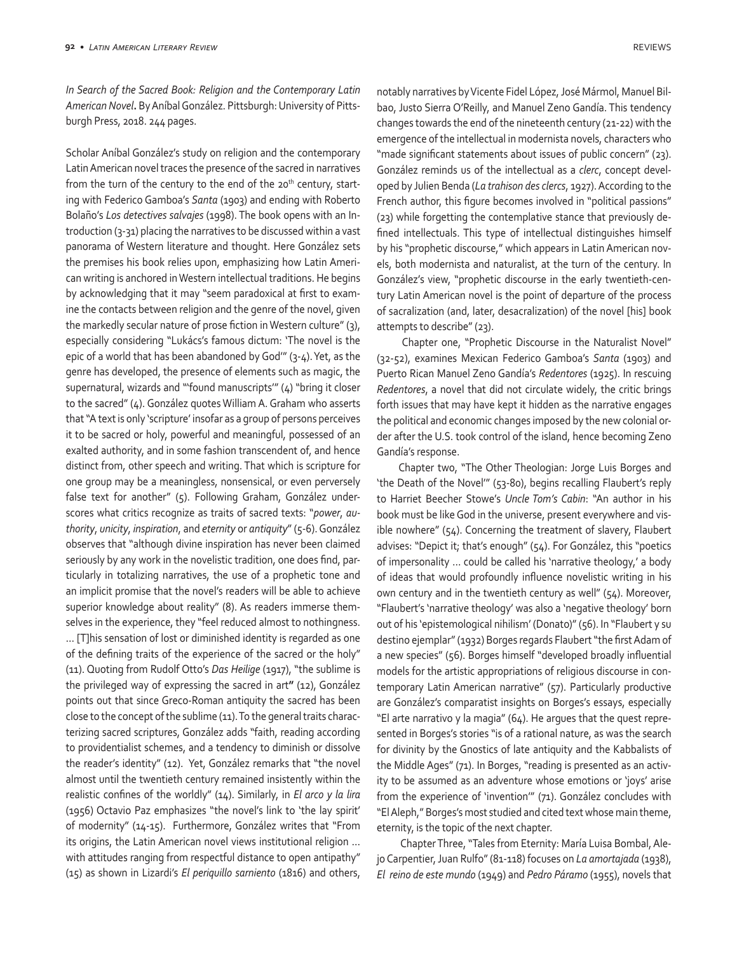*In Search of the Sacred Book: Religion and the Contemporary Latin American Novel***.** By Aníbal González. Pittsburgh: University of Pittsburgh Press, 2018. 244 pages.

Scholar Aníbal González's study on religion and the contemporary Latin American novel traces the presence of the sacred in narratives from the turn of the century to the end of the  $20<sup>th</sup>$  century, starting with Federico Gamboa's *Santa* (1903) and ending with Roberto Bolaño's *Los detectives salvajes* (1998). The book opens with an Introduction (3-31) placing the narratives to be discussed within a vast panorama of Western literature and thought. Here González sets the premises his book relies upon, emphasizing how Latin American writing is anchored in Western intellectual traditions. He begins by acknowledging that it may "seem paradoxical at first to examine the contacts between religion and the genre of the novel, given the markedly secular nature of prose fiction in Western culture" (3), especially considering "Lukács's famous dictum: 'The novel is the epic of a world that has been abandoned by God'" (3-4). Yet, as the genre has developed, the presence of elements such as magic, the supernatural, wizards and "'found manuscripts'" (4) "bring it closer to the sacred" (4). González quotes William A. Graham who asserts that "A text is only 'scripture' insofar as a group of persons perceives it to be sacred or holy, powerful and meaningful, possessed of an exalted authority, and in some fashion transcendent of, and hence distinct from, other speech and writing. That which is scripture for one group may be a meaningless, nonsensical, or even perversely false text for another" (5). Following Graham, González underscores what critics recognize as traits of sacred texts: "*power*, *authority*, *unicity*, *inspiration*, and *eternity* or *antiquity*" (5-6). González observes that "although divine inspiration has never been claimed seriously by any work in the novelistic tradition, one does find, particularly in totalizing narratives, the use of a prophetic tone and an implicit promise that the novel's readers will be able to achieve superior knowledge about reality" (8). As readers immerse themselves in the experience, they "feel reduced almost to nothingness. … [T]his sensation of lost or diminished identity is regarded as one of the defining traits of the experience of the sacred or the holy" (11). Quoting from Rudolf Otto's *Das Heilige* (1917), "the sublime is the privileged way of expressing the sacred in art**"** (12), González points out that since Greco-Roman antiquity the sacred has been close to the concept of the sublime (11). To the general traits characterizing sacred scriptures, González adds "faith, reading according to providentialist schemes, and a tendency to diminish or dissolve the reader's identity" (12). Yet, González remarks that "the novel almost until the twentieth century remained insistently within the realistic confines of the worldly" (14). Similarly, in *El arco y la lira* (1956) Octavio Paz emphasizes "the novel's link to 'the lay spirit' of modernity" (14-15). Furthermore, González writes that "From its origins, the Latin American novel views institutional religion … with attitudes ranging from respectful distance to open antipathy" (15) as shown in Lizardi's *El periquillo sarniento* (1816) and others,

notably narratives by Vicente Fidel López, José Mármol, Manuel Bilbao, Justo Sierra O'Reilly, and Manuel Zeno Gandía. This tendency changes towards the end of the nineteenth century (21-22) with the emergence of the intellectual in modernista novels, characters who "made significant statements about issues of public concern" (23). González reminds us of the intellectual as a *clerc*, concept developed by Julien Benda (*La trahison des clercs*, 1927). According to the French author, this figure becomes involved in "political passions" (23) while forgetting the contemplative stance that previously defined intellectuals. This type of intellectual distinguishes himself by his "prophetic discourse," which appears in Latin American novels, both modernista and naturalist, at the turn of the century. In González's view, "prophetic discourse in the early twentieth-century Latin American novel is the point of departure of the process of sacralization (and, later, desacralization) of the novel [his] book attempts to describe" (23).

 Chapter one, "Prophetic Discourse in the Naturalist Novel" (32-52), examines Mexican Federico Gamboa's *Santa* (1903) and Puerto Rican Manuel Zeno Gandía's *Redentores* (1925). In rescuing *Redentores*, a novel that did not circulate widely, the critic brings forth issues that may have kept it hidden as the narrative engages the political and economic changes imposed by the new colonial order after the U.S. took control of the island, hence becoming Zeno Gandía's response.

Chapter two, "The Other Theologian: Jorge Luis Borges and 'the Death of the Novel'" (53-80), begins recalling Flaubert's reply to Harriet Beecher Stowe's *Uncle Tom's Cabin*: "An author in his book must be like God in the universe, present everywhere and visible nowhere" (54). Concerning the treatment of slavery, Flaubert advises: "Depict it; that's enough" (54). For González, this "poetics of impersonality … could be called his 'narrative theology,' a body of ideas that would profoundly influence novelistic writing in his own century and in the twentieth century as well" (54). Moreover, "Flaubert's 'narrative theology' was also a 'negative theology' born out of his 'epistemological nihilism' (Donato)" (56). In "Flaubert y su destino ejemplar" (1932) Borges regards Flaubert "the first Adam of a new species" (56). Borges himself "developed broadly influential models for the artistic appropriations of religious discourse in contemporary Latin American narrative" (57). Particularly productive are González's comparatist insights on Borges's essays, especially "El arte narrativo y la magia" (64). He argues that the quest represented in Borges's stories "is of a rational nature, as was the search for divinity by the Gnostics of late antiquity and the Kabbalists of the Middle Ages" (71). In Borges, "reading is presented as an activity to be assumed as an adventure whose emotions or 'joys' arise from the experience of 'invention'" (71). González concludes with "El Aleph," Borges's most studied and cited text whose main theme, eternity, is the topic of the next chapter.

 Chapter Three, "Tales from Eternity: María Luisa Bombal, Alejo Carpentier, Juan Rulfo" (81-118) focuses on *La amortajada* (1938), *El reino de este mundo* (1949) and *Pedro Páramo* (1955), novels that